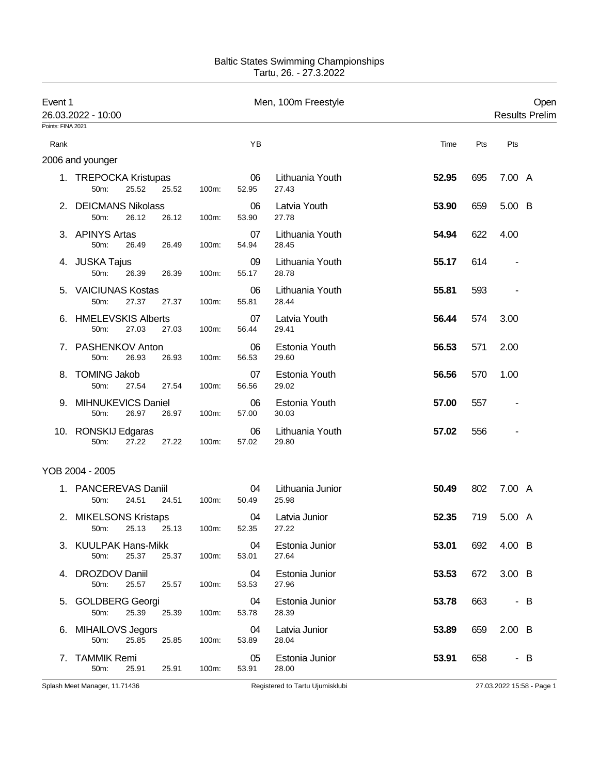## Baltic States Swimming Championships Tartu, 26. - 27.3.2022

| Event 1           | 26.03.2022 - 10:00                                    |             |             | Men, 100m Freestyle       |              | Open<br><b>Results Prelim</b> |  |  |
|-------------------|-------------------------------------------------------|-------------|-------------|---------------------------|--------------|-------------------------------|--|--|
| Points: FINA 2021 |                                                       |             |             |                           |              |                               |  |  |
| Rank              |                                                       |             | YB          |                           | Time<br>Pts  | Pts                           |  |  |
|                   | 2006 and younger                                      |             |             |                           |              |                               |  |  |
|                   | 1. TREPOCKA Kristupas<br>50m:<br>25.52<br>25.52       | 100m:       | 06<br>52.95 | Lithuania Youth<br>27.43  | 52.95<br>695 | 7.00 A                        |  |  |
|                   | 2. DEICMANS Nikolass<br>50m:<br>26.12<br>26.12        | 100m:       | 06<br>53.90 | Latvia Youth<br>27.78     | 53.90<br>659 | 5.00 B                        |  |  |
|                   | 3. APINYS Artas<br>50m:<br>26.49<br>26.49             | 100m:       | 07<br>54.94 | Lithuania Youth<br>28.45  | 54.94<br>622 | 4.00                          |  |  |
|                   | 4. JUSKA Tajus<br>50 <sub>m</sub> :<br>26.39<br>26.39 | 100m:       | 09<br>55.17 | Lithuania Youth<br>28.78  | 55.17<br>614 |                               |  |  |
|                   | 5. VAICIUNAS Kostas<br>50m:<br>27.37<br>27.37         | 100m:       | 06<br>55.81 | Lithuania Youth<br>28.44  | 55.81<br>593 | $\overline{\phantom{a}}$      |  |  |
|                   | <b>HMELEVSKIS Alberts</b><br>27.03<br>50m:<br>27.03   | 100m:       | 07<br>56.44 | Latvia Youth<br>29.41     | 56.44<br>574 | 3.00                          |  |  |
| 7.                | PASHENKOV Anton<br>50m:<br>26.93<br>26.93             | 100m:       | 06<br>56.53 | Estonia Youth<br>29.60    | 56.53<br>571 | 2.00                          |  |  |
| 8.                | <b>TOMING Jakob</b><br>27.54<br>50m:<br>27.54         | 100m:       | 07<br>56.56 | Estonia Youth<br>29.02    | 56.56<br>570 | 1.00                          |  |  |
| 9.                | MIHNUKEVICS Daniel<br>26.97<br>50m:<br>26.97          | 100m:       | 06<br>57.00 | Estonia Youth<br>30.03    | 57.00<br>557 |                               |  |  |
|                   | 10. RONSKIJ Edgaras<br>27.22<br>27.22<br>50m:         | 100m:       | 06<br>57.02 | Lithuania Youth<br>29.80  | 57.02<br>556 | $\overline{\phantom{a}}$      |  |  |
|                   | YOB 2004 - 2005                                       |             |             |                           |              |                               |  |  |
|                   | 1. PANCEREVAS Daniil<br>50m:<br>24.51<br>24.51        | 100m:       | 04<br>50.49 | Lithuania Junior<br>25.98 | 50.49<br>802 | 7.00 A                        |  |  |
|                   | 2. MIKELSONS Kristaps<br>25.13<br>50m:                | 25.13 100m: | 04<br>52.35 | Latvia Junior<br>27.22    | 52.35<br>719 | 5.00 A                        |  |  |
|                   | 3. KUULPAK Hans-Mikk<br>25.37<br>50m:<br>25.37        | 100m:       | 04<br>53.01 | Estonia Junior<br>27.64   | 53.01<br>692 | 4.00 B                        |  |  |
| 4.                | DROZDOV Daniil<br>25.57<br>50m:<br>25.57              | 100m:       | 04<br>53.53 | Estonia Junior<br>27.96   | 53.53<br>672 | 3.00 B                        |  |  |
|                   | 5. GOLDBERG Georgi<br>25.39<br>50m:<br>25.39          | 100m:       | 04<br>53.78 | Estonia Junior<br>28.39   | 53.78<br>663 | - B                           |  |  |
|                   | 6. MIHAILOVS Jegors<br>50m:<br>25.85<br>25.85         | 100m:       | 04<br>53.89 | Latvia Junior<br>28.04    | 53.89<br>659 | $2.00\quad B$                 |  |  |
| 7.                | <b>TAMMIK Remi</b><br>50m:<br>25.91<br>25.91          | 100m:       | 05<br>53.91 | Estonia Junior<br>28.00   | 53.91<br>658 | - B                           |  |  |

Splash Meet Manager, 11.71436 **Registered to Tartu Ujumisklubi** 27.03.2022 15:58 - Page 1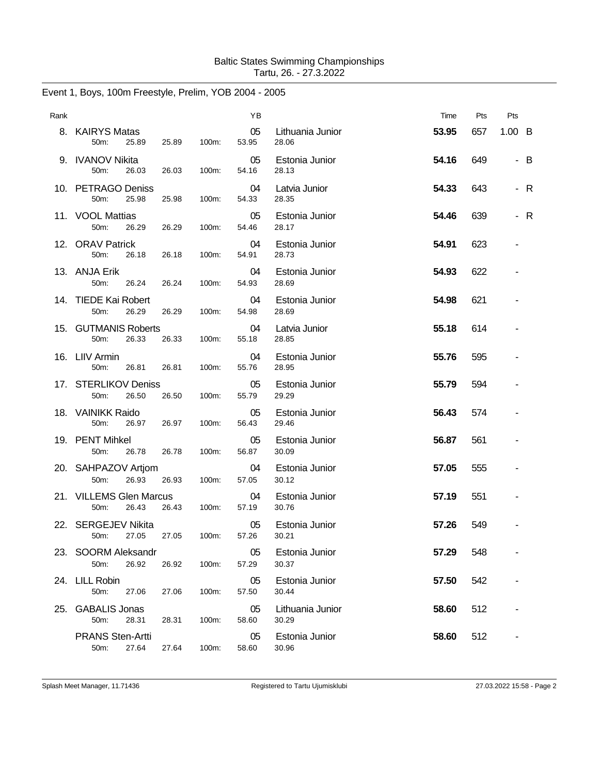| Rank |                                             |       |       | ΥB          |                           | Time  | Pts | Pts                      |     |
|------|---------------------------------------------|-------|-------|-------------|---------------------------|-------|-----|--------------------------|-----|
|      | 8. KAIRYS Matas<br>50m:<br>25.89            | 25.89 | 100m: | 05<br>53.95 | Lithuania Junior<br>28.06 | 53.95 | 657 | $1.00\quad B$            |     |
|      | 9. IVANOV Nikita<br>50m:<br>26.03           | 26.03 | 100m: | 05<br>54.16 | Estonia Junior<br>28.13   | 54.16 | 649 |                          | - B |
|      | 10. PETRAGO Deniss<br>25.98<br>50m:         | 25.98 | 100m: | 04<br>54.33 | Latvia Junior<br>28.35    | 54.33 | 643 |                          | - R |
|      | 11. VOOL Mattias<br>50m:<br>26.29           | 26.29 | 100m: | 05<br>54.46 | Estonia Junior<br>28.17   | 54.46 | 639 |                          | - R |
|      | 12. ORAV Patrick<br>50m:<br>26.18           | 26.18 | 100m: | 04<br>54.91 | Estonia Junior<br>28.73   | 54.91 | 623 |                          |     |
|      | 13. ANJA Erik<br>50 <sub>m</sub> :<br>26.24 | 26.24 | 100m: | 04<br>54.93 | Estonia Junior<br>28.69   | 54.93 | 622 |                          |     |
|      | 14. TIEDE Kai Robert<br>50m:<br>26.29       | 26.29 | 100m: | 04<br>54.98 | Estonia Junior<br>28.69   | 54.98 | 621 |                          |     |
|      | 15. GUTMANIS Roberts<br>50m:<br>26.33       | 26.33 | 100m: | 04<br>55.18 | Latvia Junior<br>28.85    | 55.18 | 614 |                          |     |
|      | 16. LIIV Armin<br>50m:<br>26.81             | 26.81 | 100m: | 04<br>55.76 | Estonia Junior<br>28.95   | 55.76 | 595 |                          |     |
|      | 17. STERLIKOV Deniss<br>50m:<br>26.50       | 26.50 | 100m: | 05<br>55.79 | Estonia Junior<br>29.29   | 55.79 | 594 | $\overline{\phantom{a}}$ |     |
|      | 18. VAINIKK Raido<br>50m:<br>26.97          | 26.97 | 100m: | 05<br>56.43 | Estonia Junior<br>29.46   | 56.43 | 574 |                          |     |
|      | 19. PENT Mihkel<br>50m:<br>26.78            | 26.78 | 100m: | 05<br>56.87 | Estonia Junior<br>30.09   | 56.87 | 561 |                          |     |
|      | 20. SAHPAZOV Artjom<br>50m:<br>26.93        | 26.93 | 100m: | 04<br>57.05 | Estonia Junior<br>30.12   | 57.05 | 555 |                          |     |
|      | 21. VILLEMS Glen Marcus<br>50m:<br>26.43    | 26.43 | 100m: | 04<br>57.19 | Estonia Junior<br>30.76   | 57.19 | 551 |                          |     |
|      | 22. SERGEJEV Nikita<br>50m:<br>27.05        | 27.05 | 100m: | 05<br>57.26 | Estonia Junior<br>30.21   | 57.26 | 549 |                          |     |
|      | 23. SOORM Aleksandr<br>50m:<br>26.92        | 26.92 | 100m: | 05<br>57.29 | Estonia Junior<br>30.37   | 57.29 | 548 |                          |     |
|      | 24. LILL Robin<br>50m:<br>27.06             | 27.06 | 100m: | 05<br>57.50 | Estonia Junior<br>30.44   | 57.50 | 542 |                          |     |
| 25.  | <b>GABALIS Jonas</b><br>50m:<br>28.31       | 28.31 | 100m: | 05<br>58.60 | Lithuania Junior<br>30.29 | 58.60 | 512 |                          |     |
|      | <b>PRANS Sten-Artti</b><br>50m:<br>27.64    | 27.64 | 100m: | 05<br>58.60 | Estonia Junior<br>30.96   | 58.60 | 512 | $\blacksquare$           |     |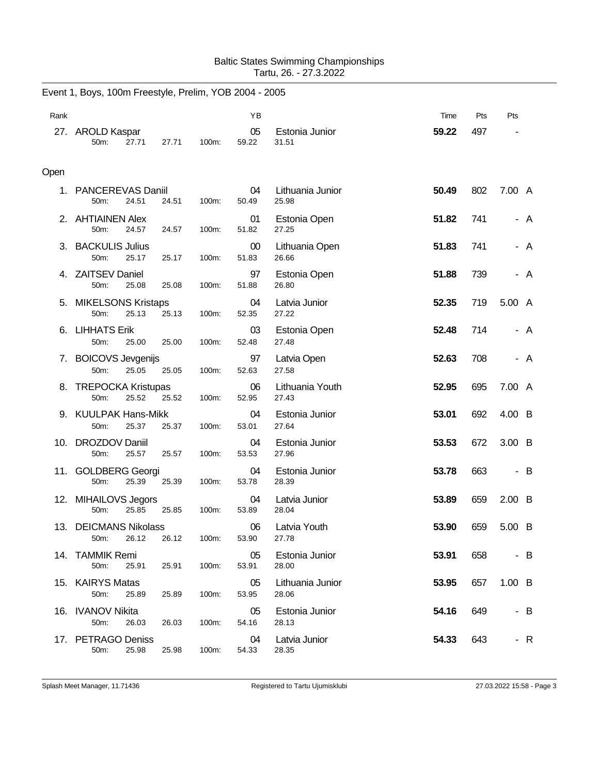## Baltic States Swimming Championships Tartu, 26. - 27.3.2022

|      | Event 1, Boys, 100m Freestyle, Prelim, YOB 2004 - 2005 |       |       |                 |                           |       |     |                          |                |
|------|--------------------------------------------------------|-------|-------|-----------------|---------------------------|-------|-----|--------------------------|----------------|
| Rank |                                                        |       |       | YB              |                           | Time  | Pts | Pts                      |                |
|      | 27. AROLD Kaspar<br>50m:<br>27.71                      | 27.71 | 100m: | 05<br>59.22     | Estonia Junior<br>31.51   | 59.22 | 497 |                          |                |
| Open |                                                        |       |       |                 |                           |       |     |                          |                |
| 1.   | PANCEREVAS Daniil<br>24.51<br>50m:                     | 24.51 | 100m: | 04<br>50.49     | Lithuania Junior<br>25.98 | 50.49 | 802 | 7.00 A                   |                |
|      | 2. AHTIAINEN Alex<br>50m:<br>24.57                     | 24.57 | 100m: | 01<br>51.82     | Estonia Open<br>27.25     | 51.82 | 741 |                          | A              |
|      | 3. BACKULIS Julius<br>50m:<br>25.17                    | 25.17 | 100m: | $00\,$<br>51.83 | Lithuania Open<br>26.66   | 51.83 | 741 | $\overline{\phantom{0}}$ | A              |
|      | 4. ZAITSEV Daniel<br>50m:<br>25.08                     | 25.08 | 100m: | 97<br>51.88     | Estonia Open<br>26.80     | 51.88 | 739 | ٠                        | A              |
| 5.   | <b>MIKELSONS Kristaps</b><br>25.13<br>50m:             | 25.13 | 100m: | 04<br>52.35     | Latvia Junior<br>27.22    | 52.35 | 719 | 5.00 A                   |                |
| 6.   | <b>LIHHATS Erik</b><br>50m:<br>25.00                   | 25.00 | 100m: | 03<br>52.48     | Estonia Open<br>27.48     | 52.48 | 714 |                          | A              |
| 7.   | <b>BOICOVS Jevgenijs</b><br>50m:<br>25.05              | 25.05 | 100m: | 97<br>52.63     | Latvia Open<br>27.58      | 52.63 | 708 |                          | A              |
| 8.   | <b>TREPOCKA Kristupas</b><br>50m:<br>25.52             | 25.52 | 100m: | 06<br>52.95     | Lithuania Youth<br>27.43  | 52.95 | 695 | 7.00 A                   |                |
|      | 9. KUULPAK Hans-Mikk<br>50m:<br>25.37                  | 25.37 | 100m: | 04<br>53.01     | Estonia Junior<br>27.64   | 53.01 | 692 | 4.00 B                   |                |
|      | 10. DROZDOV Daniil<br>50m:<br>25.57                    | 25.57 | 100m: | 04<br>53.53     | Estonia Junior<br>27.96   | 53.53 | 672 | $3.00\quad B$            |                |
|      | 11. GOLDBERG Georgi<br>25.39<br>50m:                   | 25.39 | 100m: | 04<br>53.78     | Estonia Junior<br>28.39   | 53.78 | 663 | $\overline{\phantom{m}}$ | $\overline{B}$ |
|      | 12. MIHAILOVS Jegors<br>50m:<br>25.85                  | 25.85 | 100m: | 04<br>53.89     | Latvia Junior<br>28.04    | 53.89 | 659 | $2.00\quad B$            |                |
|      | 13. DEICMANS Nikolass<br>26.12<br>50m:                 | 26.12 | 100m: | 06<br>53.90     | Latvia Youth<br>27.78     | 53.90 | 659 | 5.00 B                   |                |
|      | 14. TAMMIK Remi<br>50m:<br>25.91                       | 25.91 | 100m: | 05<br>53.91     | Estonia Junior<br>28.00   | 53.91 | 658 |                          | - B            |
|      | 15. KAIRYS Matas<br>50m:<br>25.89                      | 25.89 | 100m: | 05<br>53.95     | Lithuania Junior<br>28.06 | 53.95 | 657 | $1.00\quad B$            |                |
|      | 16. IVANOV Nikita<br>50m:<br>26.03                     | 26.03 | 100m: | 05<br>54.16     | Estonia Junior<br>28.13   | 54.16 | 649 |                          | - B            |
|      | 17. PETRAGO Deniss<br>50m:<br>25.98                    | 25.98 | 100m: | 04<br>54.33     | Latvia Junior<br>28.35    | 54.33 | 643 |                          | - R            |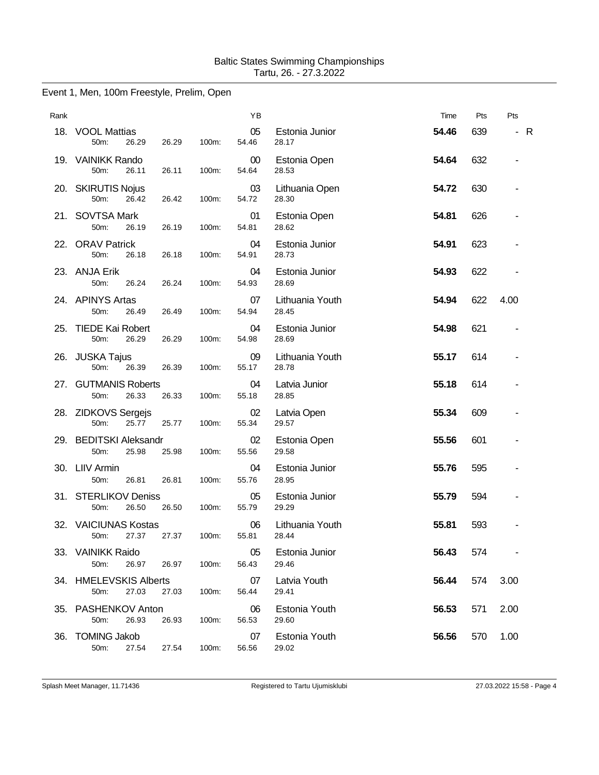## Event 1, Men, 100m Freestyle, Prelim, Open

| Rank |                                         |       |       | YB              |                          | Time  | Pts | Pts               |
|------|-----------------------------------------|-------|-------|-----------------|--------------------------|-------|-----|-------------------|
|      | 18. VOOL Mattias<br>50m:<br>26.29       | 26.29 | 100m: | 05<br>54.46     | Estonia Junior<br>28.17  | 54.46 | 639 | $\mathsf{R}$<br>٠ |
|      | 19. VAINIKK Rando<br>50m:<br>26.11      | 26.11 | 100m: | $00\,$<br>54.64 | Estonia Open<br>28.53    | 54.64 | 632 | ٠                 |
|      | 20. SKIRUTIS Nojus<br>50m:<br>26.42     | 26.42 | 100m: | 03<br>54.72     | Lithuania Open<br>28.30  | 54.72 | 630 |                   |
|      | 21. SOVTSA Mark<br>50m:<br>26.19        | 26.19 | 100m: | 01<br>54.81     | Estonia Open<br>28.62    | 54.81 | 626 |                   |
|      | 22. ORAV Patrick<br>50m:<br>26.18       | 26.18 | 100m: | 04<br>54.91     | Estonia Junior<br>28.73  | 54.91 | 623 |                   |
|      | 23. ANJA Erik<br>50m:<br>26.24          | 26.24 | 100m: | 04<br>54.93     | Estonia Junior<br>28.69  | 54.93 | 622 |                   |
|      | 24. APINYS Artas<br>50m:<br>26.49       | 26.49 | 100m: | 07<br>54.94     | Lithuania Youth<br>28.45 | 54.94 | 622 | 4.00              |
|      | 25. TIEDE Kai Robert<br>50m:<br>26.29   | 26.29 | 100m: | 04<br>54.98     | Estonia Junior<br>28.69  | 54.98 | 621 |                   |
|      | 26. JUSKA Tajus<br>50m:<br>26.39        | 26.39 | 100m: | 09<br>55.17     | Lithuania Youth<br>28.78 | 55.17 | 614 |                   |
|      | 27. GUTMANIS Roberts<br>50m:<br>26.33   | 26.33 | 100m: | 04<br>55.18     | Latvia Junior<br>28.85   | 55.18 | 614 | -                 |
|      | 28. ZIDKOVS Sergejs<br>25.77<br>50m:    | 25.77 | 100m: | 02<br>55.34     | Latvia Open<br>29.57     | 55.34 | 609 |                   |
|      | 29. BEDITSKI Aleksandr<br>50m:<br>25.98 | 25.98 | 100m: | 02<br>55.56     | Estonia Open<br>29.58    | 55.56 | 601 |                   |
|      | 30. LIIV Armin<br>50m:<br>26.81         | 26.81 | 100m: | 04<br>55.76     | Estonia Junior<br>28.95  | 55.76 | 595 |                   |
|      | 31. STERLIKOV Deniss<br>50m:<br>26.50   | 26.50 | 100m: | 05<br>55.79     | Estonia Junior<br>29.29  | 55.79 | 594 |                   |
|      | 32. VAICIUNAS Kostas<br>27.37<br>50m:   | 27.37 | 100m: | 06<br>55.81     | Lithuania Youth<br>28.44 | 55.81 | 593 |                   |
|      | 33. VAINIKK Raido<br>50m:<br>26.97      | 26.97 | 100m: | 05<br>56.43     | Estonia Junior<br>29.46  | 56.43 | 574 |                   |
|      | 34. HMELEVSKIS Alberts<br>27.03<br>50m: | 27.03 | 100m: | 07<br>56.44     | Latvia Youth<br>29.41    | 56.44 | 574 | 3.00              |
|      | 35. PASHENKOV Anton<br>50m:<br>26.93    | 26.93 | 100m: | 06<br>56.53     | Estonia Youth<br>29.60   | 56.53 | 571 | 2.00              |
|      | 36. TOMING Jakob<br>50m:<br>27.54       | 27.54 | 100m: | 07<br>56.56     | Estonia Youth<br>29.02   | 56.56 | 570 | 1.00              |